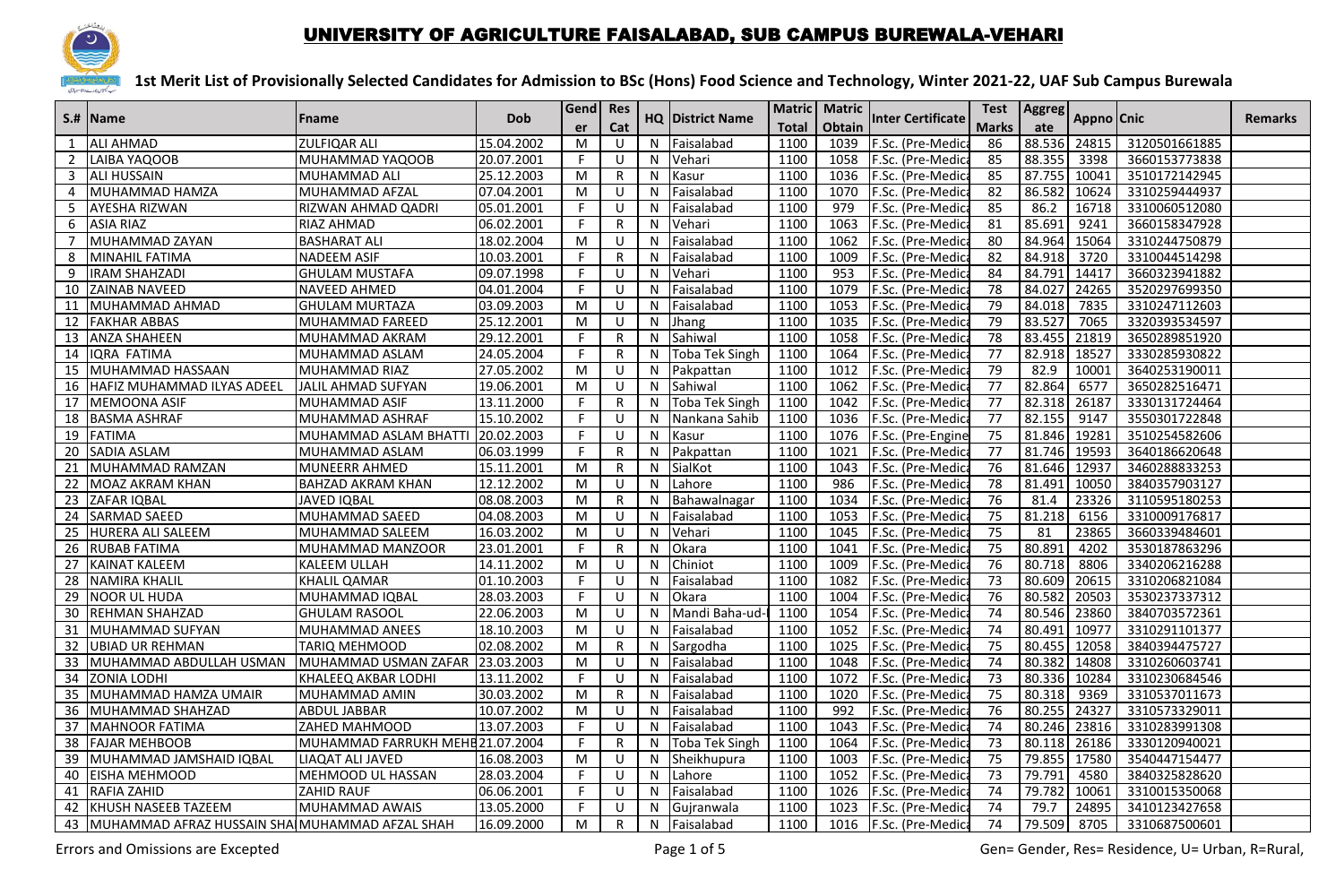

#### UNIVERSITY OF AGRICULTURE FAISALABAD, SUB CAMPUS BUREWALA-VEHARI

|                | S.#  Name                                         | <b>Fname</b>                     | <b>Dob</b> | Gend<br>er | Res          |    | <b>HQ District Name</b> |              | Matric   Matric | <b>Inter Certificate</b> | <b>Test</b><br><b>Aggreg</b> |              | Appno Cnic |               | <b>Remarks</b> |
|----------------|---------------------------------------------------|----------------------------------|------------|------------|--------------|----|-------------------------|--------------|-----------------|--------------------------|------------------------------|--------------|------------|---------------|----------------|
|                |                                                   |                                  |            |            | Cat          |    |                         | <b>Total</b> | Obtain          |                          | <b>Marks</b>                 | ate          |            |               |                |
|                | <b>ALI AHMAD</b>                                  | ZULFIQAR ALI                     | 15.04.2002 | M          | U            | N  | Faisalabad              | 1100         | 1039            | F.Sc. (Pre-Medic         | 86                           | 88.536       | 24815      | 3120501661885 |                |
| 2              | LAIBA YAQOOB                                      | MUHAMMAD YAQOOB                  | 20.07.2001 | F.         | U            | N  | Vehari                  | 1100         | 1058            | F.Sc. (Pre-Medic         | 85                           | 88.355       | 3398       | 3660153773838 |                |
| 3              | <b>ALI HUSSAIN</b>                                | MUHAMMAD ALI                     | 25.12.2003 | M          | R            | N  | Kasur                   | 1100         | 1036            | F.Sc. (Pre-Medic         | 85                           | 87.755       | 10041      | 3510172142945 |                |
| 4              | MUHAMMAD HAMZA                                    | MUHAMMAD AFZAL                   | 07.04.2001 | M          | $\cup$       | N  | Faisalabad              | 1100         | 1070            | F.Sc. (Pre-Medica        | 82                           | 86.582       | 10624      | 3310259444937 |                |
| 5              | <b>AYESHA RIZWAN</b>                              | RIZWAN AHMAD QADRI               | 05.01.2001 | F          | U            | N  | Faisalabad              | 1100         | 979             | F.Sc. (Pre-Medica        | 85                           | 86.2         | 16718      | 3310060512080 |                |
| 6              | <b>ASIA RIAZ</b>                                  | RIAZ AHMAD                       | 06.02.2001 | F          | R            | N  | Vehari                  | 1100         | 1063            | F.Sc. (Pre-Medic         | 81                           | 85.691       | 9241       | 3660158347928 |                |
| $\overline{7}$ | MUHAMMAD ZAYAN                                    | BASHARAT ALI                     | 18.02.2004 | M          | U            | N  | Faisalabad              | 1100         | 1062            | F.Sc. (Pre-Medica        | 80                           | 84.964       | 15064      | 3310244750879 |                |
| 8              | MINAHIL FATIMA                                    | <b>NADEEM ASIF</b>               | 10.03.2001 | F          | $\mathsf{R}$ | N  | Faisalabad              | 1100         | 1009            | F.Sc. (Pre-Medic         | 82                           | 84.918       | 3720       | 3310044514298 |                |
| 9              | <b>IRAM SHAHZADI</b>                              | <b>GHULAM MUSTAFA</b>            | 09.07.1998 | F          | U            | N  | Vehari                  | 1100         | 953             | F.Sc. (Pre-Medic         | 84                           | 84.791       | 14417      | 3660323941882 |                |
|                | 10 ZAINAB NAVEED                                  | NAVEED AHMED                     | 04.01.2004 | F.         | U            | N  | Faisalabad              | 1100         | 1079            | F.Sc. (Pre-Medica        | 78                           | 84.027       | 24265      | 3520297699350 |                |
| 11             | MUHAMMAD AHMAD                                    | GHULAM MURTAZA                   | 03.09.2003 | M          | U            | N  | Faisalabad              | 1100         | 1053            | F.Sc. (Pre-Medic         | 79                           | 84.018       | 7835       | 3310247112603 |                |
| 12             | <b>FAKHAR ABBAS</b>                               | MUHAMMAD FAREED                  | 25.12.2001 | M          | U            | N  | Jhang                   | 1100         | 1035            | F.Sc. (Pre-Medic         | 79                           | 83.527       | 7065       | 3320393534597 |                |
|                | 13 ANZA SHAHEEN                                   | MUHAMMAD AKRAM                   | 29.12.2001 | F          | $\mathsf{R}$ | N  | Sahiwal                 | 1100         | 1058            | F.Sc. (Pre-Medic         | 78                           | 83.455       | 21819      | 3650289851920 |                |
| 14             | IQRA FATIMA                                       | MUHAMMAD ASLAM                   | 24.05.2004 | F          | $\mathsf{R}$ | N  | Toba Tek Singh          | 1100         | 1064            | F.Sc. (Pre-Medica        | 77                           | 82.918       | 18527      | 3330285930822 |                |
| 15             | MUHAMMAD HASSAAN                                  | MUHAMMAD RIAZ                    | 27.05.2002 | M          | U            | N  | Pakpattan               | 1100         | 1012            | F.Sc. (Pre-Medic         | 79                           | 82.9         | 10001      | 3640253190011 |                |
| 16             | HAFIZ MUHAMMAD ILYAS ADEEL                        | JALIL AHMAD SUFYAN               | 19.06.2001 | M          | U            | N  | Sahiwal                 | 1100         | 1062            | F.Sc. (Pre-Medica        | 77                           | 82.864       | 6577       | 3650282516471 |                |
|                | 17 MEMOONA ASIF                                   | MUHAMMAD ASIF                    | 13.11.2000 | F          | $\mathsf{R}$ | N  | <b>Toba Tek Singh</b>   | 1100         | 1042            | F.Sc. (Pre-Medic         | $\overline{77}$              | 82.318       | 26187      | 3330131724464 |                |
| 18             | <b>BASMA ASHRAF</b>                               | MUHAMMAD ASHRAF                  | 15.10.2002 | F          | U            | N  | Nankana Sahib           | 1100         | 1036            | F.Sc. (Pre-Medica        | $\overline{77}$              | 82.155       | 9147       | 3550301722848 |                |
|                | 19 FATIMA                                         | MUHAMMAD ASLAM BHATTI            | 20.02.2003 | F.         | U            | N  | Kasur                   | 1100         | 1076            | F.Sc. (Pre-Engine        | 75                           | 81.846       | 19281      | 3510254582606 |                |
|                | 20 SADIA ASLAM                                    | MUHAMMAD ASLAM                   | 06.03.1999 | F.         | R            | N  | Pakpattan               | 1100         | 1021            | F.Sc. (Pre-Medica        | 77                           | 81.746       | 19593      | 3640186620648 |                |
| 21             | MUHAMMAD RAMZAN                                   | MUNEERR AHMED                    | 15.11.2001 | M          | $\mathsf R$  | N  | SialKot                 | 1100         | 1043            | F.Sc. (Pre-Medic         | 76                           | 81.646       | 12937      | 3460288833253 |                |
| 22             | <b>MOAZ AKRAM KHAN</b>                            | BAHZAD AKRAM KHAN                | 12.12.2002 | M          | $\cup$       | N  | Lahore                  | 1100         | 986             | F.Sc. (Pre-Medica        | $\overline{78}$              | 81.491       | 10050      | 3840357903127 |                |
|                | 23 ZAFAR IQBAL                                    | <b>JAVED IQBAL</b>               | 08.08.2003 | M          | R            | N  | Bahawalnagar            | 1100         | 1034            | F.Sc. (Pre-Medic         | 76                           | 81.4         | 23326      | 3110595180253 |                |
| 24             | <b>SARMAD SAEED</b>                               | MUHAMMAD SAEED                   | 04.08.2003 | M          | U            | N  | Faisalabad              | 1100         | 1053            | F.Sc. (Pre-Medic         | 75                           | 81.218       | 6156       | 3310009176817 |                |
| 25             | HURERA ALI SALEEM                                 | MUHAMMAD SALEEM                  | 16.03.2002 | M          | U            | N  | Vehari                  | 1100         | 1045            | F.Sc. (Pre-Medica        | 75                           | 81           | 23865      | 3660339484601 |                |
| 26             | <b>RUBAB FATIMA</b>                               | MUHAMMAD MANZOOR                 | 23.01.2001 | F          | R            | N  | Okara                   | 1100         | 1041            | F.Sc. (Pre-Medic         | $\overline{75}$              | 80.891       | 4202       | 3530187863296 |                |
| 27             | <b>KAINAT KALEEM</b>                              | KALEEM ULLAH                     | 14.11.2002 | M          | $\cup$       | N  | Chiniot                 | 1100         | 1009            | F.Sc. (Pre-Medic         | 76                           | 80.718       | 8806       | 3340206216288 |                |
| 28             | <b>NAMIRA KHALIL</b>                              | KHALIL QAMAR                     | 01.10.2003 | F          | $\cup$       | N  | Faisalabad              | 1100         | 1082            | F.Sc. (Pre-Medica        | 73                           | 80.609       | 20615      | 3310206821084 |                |
| 29             | <b>NOOR UL HUDA</b>                               | MUHAMMAD IQBAL                   | 28.03.2003 | F.         | U            | N  | Okara                   | 1100         | 1004            | F.Sc. (Pre-Medic         | 76                           | 80.582       | 20503      | 3530237337312 |                |
| 30             | <b>REHMAN SHAHZAD</b>                             | <b>GHULAM RASOOL</b>             | 22.06.2003 | M          | U            | N  | Mandi Baha-ud-          | 1100         | 1054            | F.Sc. (Pre-Medic         | 74                           | 80.546       | 23860      | 3840703572361 |                |
| 31             | <b>MUHAMMAD SUFYAN</b>                            | MUHAMMAD ANEES                   | 18.10.2003 | M          | U            | N  | Faisalabad              | 1100         | 1052            | F.Sc. (Pre-Medic         | 74                           | 80.491       | 10977      | 3310291101377 |                |
| 32             | <b>UBIAD UR REHMAN</b>                            | TARIQ MEHMOOD                    | 02.08.2002 | M          | R            | N  | Sargodha                | 1100         | 1025            | F.Sc. (Pre-Medic         | 75                           | 80.455       | 12058      | 3840394475727 |                |
| 33             | MUHAMMAD ABDULLAH USMAN                           | MUHAMMAD USMAN ZAFAR 23.03.2003  |            | M          | U            | N  | Faisalabad              | 1100         | 1048            | F.Sc. (Pre-Medica        | 74                           | 80.382       | 14808      | 3310260603741 |                |
| 34             | <b>ZONIA LODHI</b>                                | KHALEEQ AKBAR LODHI              | 13.11.2002 | F          | $\cup$       | N  | Faisalabad              | 1100         | 1072            | F.Sc. (Pre-Medic         | 73                           | 80.336       | 10284      | 3310230684546 |                |
| 35             | MUHAMMAD HAMZA UMAIR                              | MUHAMMAD AMIN                    | 30.03.2002 | M          | R            | N  | Faisalabad              | 1100         | 1020            | F.Sc. (Pre-Medic         | $\overline{75}$              | 80.318       | 9369       | 3310537011673 |                |
| 36             | MUHAMMAD SHAHZAD                                  | ABDUL JABBAR                     | 10.07.2002 | M          | U            | N  | Faisalabad              | 1100         | 992             | F.Sc. (Pre-Medica        | 76                           | 80.255 24327 |            | 3310573329011 |                |
| 37             | <b>MAHNOOR FATIMA</b>                             | ZAHED MAHMOOD                    | 13.07.2003 | F          | U            | N  | Faisalabad              | 1100         | 1043            | F.Sc. (Pre-Medic         | 74                           | 80.246       | 23816      | 3310283991308 |                |
| 38             | <b>FAJAR MEHBOOB</b>                              | MUHAMMAD FARRUKH MEHE 21.07.2004 |            | F          | R            | N  | Toba Tek Singh          | 1100         | 1064            | F.Sc. (Pre-Medic         | 73                           | 80.118       | 26186      | 3330120940021 |                |
| 39             | MUHAMMAD JAMSHAID IQBAL                           | LIAQAT ALI JAVED                 | 16.08.2003 | M          | $\cup$       | N  | Sheikhupura             | 1100         | 1003            | F.Sc. (Pre-Medica        | 75                           | 79.855       | 17580      | 3540447154477 |                |
|                | 40 EISHA MEHMOOD                                  | MEHMOOD UL HASSAN                | 28.03.2004 | F          | U            | N  | Lahore                  | 1100         | 1052            | F.Sc. (Pre-Medic         | 73                           | 79.791       | 4580       | 3840325828620 |                |
|                | 41 RAFIA ZAHID                                    | <b>ZAHID RAUF</b>                | 06.06.2001 | F          | U            | N  | Faisalabad              | 1100         | 1026            | F.Sc. (Pre-Medica        | 74                           | 79.782       | 10061      | 3310015350068 |                |
|                | 42 KHUSH NASEEB TAZEEM                            | MUHAMMAD AWAIS                   | 13.05.2000 | F.         | U            | N  | Gujranwala              | 1100         | 1023            | F.Sc. (Pre-Medica        | 74                           | 79.7         | 24895      | 3410123427658 |                |
|                | 43 MUHAMMAD AFRAZ HUSSAIN SHA MUHAMMAD AFZAL SHAH |                                  | 16.09.2000 | M          | R            | N. | Faisalabad              | 1100         | 1016            | F.Sc. (Pre-Medica        | 74                           | 79.509       | 8705       | 3310687500601 |                |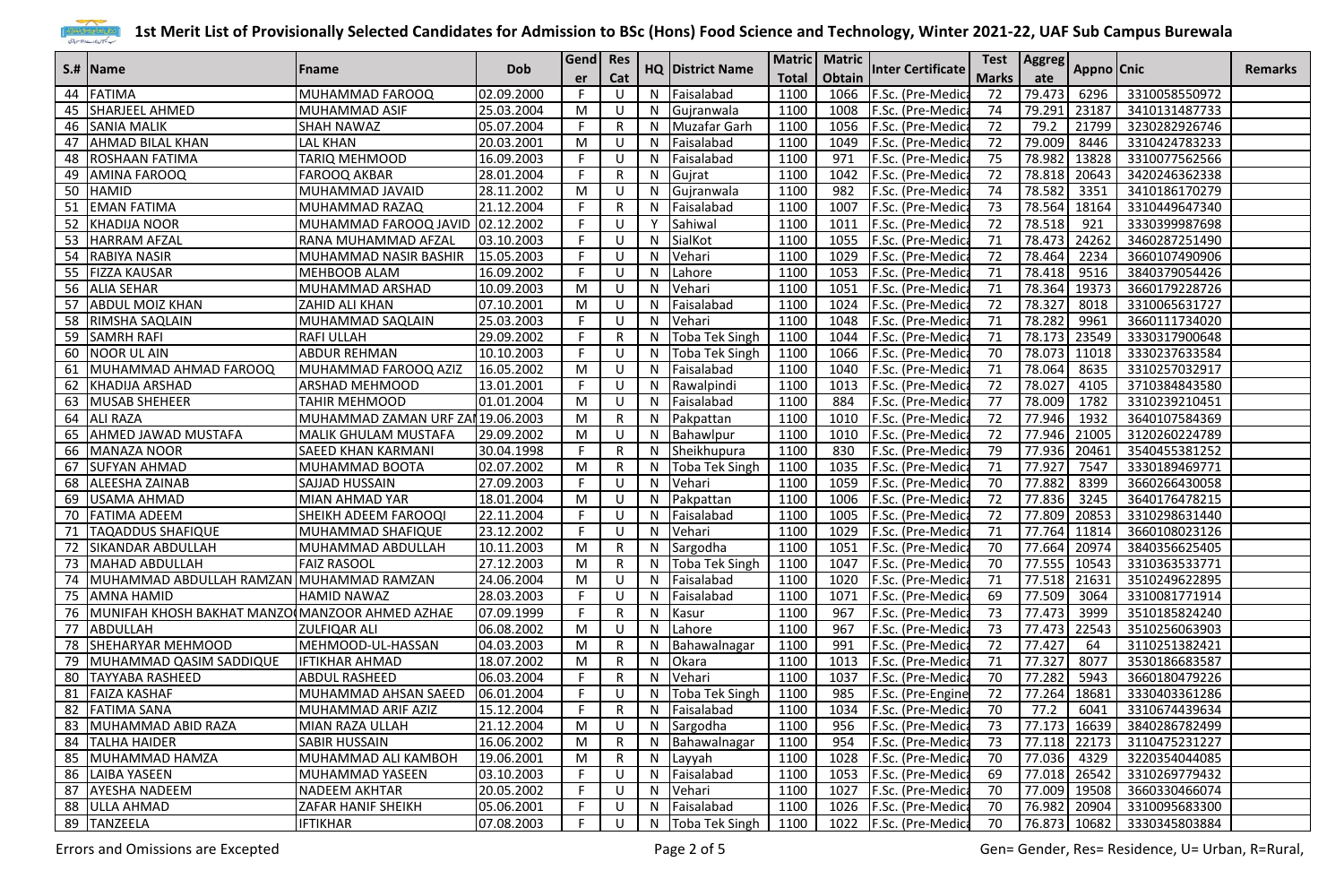

|    |                                                   |                                   |            | Gend Res |              |   |                         |              | Matric   Matric |                          | Test         |              |       | Aggreg Appno Cnic |                |
|----|---------------------------------------------------|-----------------------------------|------------|----------|--------------|---|-------------------------|--------------|-----------------|--------------------------|--------------|--------------|-------|-------------------|----------------|
|    | S.#  Name                                         | Fname                             | <b>Dob</b> | er       | Cat          |   | <b>HQ District Name</b> | <b>Total</b> | Obtain          | <b>Inter Certificate</b> | <b>Marks</b> |              |       |                   | <b>Remarks</b> |
|    | 44 FATIMA                                         | MUHAMMAD FAROOQ                   | 02.09.2000 | F        | U            | N | Faisalabad              | 1100         | 1066            | F.Sc. (Pre-Medica        | 72           | 79.473       | 6296  | 3310058550972     |                |
|    | 45 SHARJEEL AHMED                                 | MUHAMMAD ASIF                     | 25.03.2004 | M        | -U           | N | Gujranwala              | 1100         | 1008            | F.Sc. (Pre-Medica        | 74           | 79.291       | 23187 | 3410131487733     |                |
|    | 46 SANIA MALIK                                    | SHAH NAWAZ                        | 05.07.2004 | F        | R            | N | Muzafar Garh            | 1100         | 1056            | F.Sc. (Pre-Medica        | 72           | 79.2         | 21799 | 3230282926746     |                |
| 47 | <b>AHMAD BILAL KHAN</b>                           | <b>LAL KHAN</b>                   | 20.03.2001 | M        | -U           | N | Faisalabad              | 1100         | 1049            | F.Sc. (Pre-Medic         | 72           | 79.009       | 8446  | 3310424783233     |                |
| 48 | ROSHAAN FATIMA                                    | TARIQ MEHMOOD                     | 16.09.2003 | F        | -U           | N | Faisalabad              | 1100         | 971             | F.Sc. (Pre-Medic         | 75           | 78.982       | 13828 | 3310077562566     |                |
|    | 49 AMINA FAROOQ                                   | <b>FAROOQ AKBAR</b>               | 28.01.2004 | F.       | R            | N | Gujrat                  | 1100         | 1042            | F.Sc. (Pre-Medic         | 72           | 78.818       | 20643 | 3420246362338     |                |
|    | 50 HAMID                                          | MUHAMMAD JAVAID                   | 28.11.2002 | M        | -U           | N | Gujranwala              | 1100         | 982             | F.Sc. (Pre-Medic         | 74           | 78.582       | 3351  | 3410186170279     |                |
| 51 | <b>EMAN FATIMA</b>                                | MUHAMMAD RAZAQ                    | 21.12.2004 | F        | R            | N | Faisalabad              | 1100         | 1007            | F.Sc. (Pre-Medic         | 73           | 78.564       | 18164 | 3310449647340     |                |
|    | 52 KHADIJA NOOR                                   | MUHAMMAD FAROOQ JAVID 02.12.2002  |            | F        | -U           | Y | Sahiwal                 | 1100         | 1011            | F.Sc. (Pre-Medic         | 72           | 78.518       | 921   | 3330399987698     |                |
|    | 53 HARRAM AFZAL                                   | RANA MUHAMMAD AFZAL               | 03.10.2003 | F        | <b>U</b>     | N | SialKot                 | 1100         | 1055            | F.Sc. (Pre-Medic         | 71           | 78.473       | 24262 | 3460287251490     |                |
|    | 54 RABIYA NASIR                                   | MUHAMMAD NASIR BASHIR             | 15.05.2003 | F.       | -U           | N | Vehari                  | 1100         | 1029            | F.Sc. (Pre-Medic         | 72           | 78.464       | 2234  | 3660107490906     |                |
|    | 55 FIZZA KAUSAR                                   | MEHBOOB ALAM                      | 16.09.2002 | F        | <b>U</b>     | N | Lahore                  | 1100         | 1053            | F.Sc. (Pre-Medic         | 71           | 78.418       | 9516  | 3840379054426     |                |
|    | 56 ALIA SEHAR                                     | MUHAMMAD ARSHAD                   | 10.09.2003 | M        | -U           | N | Vehari                  | 1100         | 1051            | F.Sc. (Pre-Medic         | 71           | 78.364       | 19373 | 3660179228726     |                |
| 57 | <b>ABDUL MOIZ KHAN</b>                            | ZAHID ALI KHAN                    | 07.10.2001 | M        | -U           | N | Faisalabad              | 1100         | 1024            | F.Sc. (Pre-Medic         | 72           | 78.327       | 8018  | 3310065631727     |                |
| 58 | <b>RIMSHA SAQLAIN</b>                             | MUHAMMAD SAQLAIN                  | 25.03.2003 | F.       | -U           | N | Vehari                  | 1100         | 1048            | F.Sc. (Pre-Medic         | 71           | 78.282       | 9961  | 3660111734020     |                |
|    | 59 SAMRH RAFI                                     | <b>RAFI ULLAH</b>                 | 29.09.2002 | F        | R            | N | <b>Toba Tek Singh</b>   | 1100         | 1044            | F.Sc. (Pre-Medic         | 71           | 78.173       | 23549 | 3330317900648     |                |
|    | 60 NOOR UL AIN                                    | <b>ABDUR REHMAN</b>               | 10.10.2003 | F.       | -U           | N | Toba Tek Singh          | 1100         | 1066            | F.Sc. (Pre-Medica        | 70           | 78.073 11018 |       | 3330237633584     |                |
| 61 | MUHAMMAD AHMAD FAROOQ                             | MUHAMMAD FAROOQ AZIZ              | 16.05.2002 | M        | U            | N | Faisalabad              | 1100         | 1040            | F.Sc. (Pre-Medica        | 71           | 78.064       | 8635  | 3310257032917     |                |
|    | 62 KHADIJA ARSHAD                                 | ARSHAD MEHMOOD                    | 13.01.2001 | F.       | -U           | N | Rawalpindi              | 1100         | 1013            | F.Sc. (Pre-Medica        | 72           | 78.027       | 4105  | 3710384843580     |                |
|    | 63 MUSAB SHEHEER                                  | TAHIR MEHMOOD                     | 01.01.2004 | M        | U            | N | Faisalabad              | 1100         | 884             | F.Sc. (Pre-Medica        | 77           | 78.009       | 1782  | 3310239210451     |                |
| 64 | ALI RAZA                                          | MUHAMMAD ZAMAN URF ZAI 19.06.2003 |            | M        | R            | N | Pakpattan               | 1100         | 1010            | F.Sc. (Pre-Medic         | 72           | 77.946       | 1932  | 3640107584369     |                |
| 65 | <b>AHMED JAWAD MUSTAFA</b>                        | MALIK GHULAM MUSTAFA              | 29.09.2002 | M        | -U           | N | Bahawlpur               | 1100         | 1010            | F.Sc. (Pre-Medic         | 72           | 77.946       | 21005 | 3120260224789     |                |
| 66 | <b>MANAZA NOOR</b>                                | <b>SAEED KHAN KARMANI</b>         | 30.04.1998 | F.       | R            | N | Sheikhupura             | 1100         | 830             | F.Sc. (Pre-Medic         | 79           | 77.936       | 20461 | 3540455381252     |                |
| 67 | <b>SUFYAN AHMAD</b>                               | MUHAMMAD BOOTA                    | 02.07.2002 | M        | R            | N | <b>Toba Tek Singh</b>   | 1100         | 1035            | F.Sc. (Pre-Medic         | 71           | 77.927       | 7547  | 3330189469771     |                |
| 68 | <b>ALEESHA ZAINAB</b>                             | SAJJAD HUSSAIN                    | 27.09.2003 | F.       | U            | N | Vehari                  | 1100         | 1059            | F.Sc. (Pre-Medic         | 70           | 77.882       | 8399  | 3660266430058     |                |
|    | 69 USAMA AHMAD                                    | MIAN AHMAD YAR                    | 18.01.2004 | M        | -U           | N | Pakpattan               | 1100         | 1006            | F.Sc. (Pre-Medica        | 72           | 77.836       | 3245  | 3640176478215     |                |
|    | 70 FATIMA ADEEM                                   | SHEIKH ADEEM FAROOQI              | 22.11.2004 | F        | -U           | N | Faisalabad              | 1100         | 1005            | F.Sc. (Pre-Medic         | 72           | 77.809       | 20853 | 3310298631440     |                |
| 71 | <b>TAQADDUS SHAFIQUE</b>                          | MUHAMMAD SHAFIQUE                 | 23.12.2002 | F.       | <b>U</b>     | N | Vehari                  | 1100         | 1029            | F.Sc. (Pre-Medic         | 71           | 77.764       | 11814 | 3660108023126     |                |
|    | 72 SIKANDAR ABDULLAH                              | MUHAMMAD ABDULLAH                 | 10.11.2003 | M        | R            | N | Sargodha                | 1100         | 1051            | F.Sc. (Pre-Medic         | 70           | 77.664       | 20974 | 3840356625405     |                |
|    | 73 MAHAD ABDULLAH                                 | <b>FAIZ RASOOL</b>                | 27.12.2003 | M        | R            | N | Toba Tek Singh          | 1100         | 1047            | F.Sc. (Pre-Medic         | 70           | 77.555       | 10543 | 3310363533771     |                |
| 74 | MUHAMMAD ABDULLAH RAMZAN                          | MUHAMMAD RAMZAN                   | 24.06.2004 | M        | -U           | N | Faisalabad              | 1100         | 1020            | F.Sc. (Pre-Medic         | 71           | 77.518       | 21631 | 3510249622895     |                |
| 75 | AMNA HAMID                                        | <b>HAMID NAWAZ</b>                | 28.03.2003 | F        | -U           | N | Faisalabad              | 1100         | 1071            | F.Sc. (Pre-Medic         | 69           | 77.509       | 3064  | 3310081771914     |                |
|    | 76 MUNIFAH KHOSH BAKHAT MANZO MANZOOR AHMED AZHAE |                                   | 07.09.1999 | F        | $\mathsf{R}$ | N | Kasur                   | 1100         | 967             | F.Sc. (Pre-Medic         | 73           | 77.473       | 3999  | 3510185824240     |                |
|    | 77 ABDULLAH                                       | <b>ZULFIQAR ALI</b>               | 06.08.2002 | M        | -U           | N | Lahore                  | 1100         | 967             | F.Sc. (Pre-Medic         | 73           | 77.473       | 22543 | 3510256063903     |                |
|    | 78 SHEHARYAR MEHMOOD                              | MEHMOOD-UL-HASSAN                 | 04.03.2003 | M        | R            | N | Bahawalnagar            | 1100         | 991             | F.Sc. (Pre-Medica        | 72           | 77.427       | 64    | 3110251382421     |                |
| 79 | MUHAMMAD QASIM SADDIQUE                           | <b>IFTIKHAR AHMAD</b>             | 18.07.2002 | M        | R            | N | Okara                   | 1100         | 1013            | F.Sc. (Pre-Medic         | 71           | 77.327       | 8077  | 3530186683587     |                |
|    | 80 TAYYABA RASHEED                                | <b>ABDUL RASHEED</b>              | 06.03.2004 | F.       | R            | N | Vehari                  | 1100         | 1037            | F.Sc. (Pre-Medica        | 70           | 77.282       | 5943  | 3660180479226     |                |
|    | 81 FAIZA KASHAF                                   | MUHAMMAD AHSAN SAEED 06.01.2004   |            | F.       | $\cup$       | N | Toba Tek Singh          | 1100         | 985             | F.Sc. (Pre-Engine        | 72           | 77.264 18681 |       | 3330403361286     |                |
|    | 82 FATIMA SANA                                    | MUHAMMAD ARIF AZIZ                | 15.12.2004 | F.       | R            | N | Faisalabad              | 1100         | 1034            | F.Sc. (Pre-Medica        | 70           | 77.2         | 6041  | 3310674439634     |                |
|    | 83 MUHAMMAD ABID RAZA                             | MIAN RAZA ULLAH                   | 21.12.2004 | M        | -U           | N | Sargodha                | 1100         | 956             | F.Sc. (Pre-Medica        | 73           | 77.173 16639 |       | 3840286782499     |                |
|    | 84 TALHA HAIDER                                   | <b>SABIR HUSSAIN</b>              | 16.06.2002 | M        | R            | N | Bahawalnagar            | 1100         | 954             | F.Sc. (Pre-Medica        | 73           | 77.118 22173 |       | 3110475231227     |                |
|    | 85 MUHAMMAD HAMZA                                 | MUHAMMAD ALI KAMBOH               | 19.06.2001 | M        | R            | N | Layyah                  | 1100         |                 | 1028 F.Sc. (Pre-Medica   | 70           | 77.036 4329  |       | 3220354044085     |                |
|    | 86 LAIBA YASEEN                                   | MUHAMMAD YASEEN                   | 03.10.2003 | F.       | U            | N | Faisalabad              | 1100         |                 | 1053 F.Sc. (Pre-Medica   | 69           | 77.018 26542 |       | 3310269779432     |                |
|    | 87 AYESHA NADEEM                                  | <b>NADEEM AKHTAR</b>              | 20.05.2002 | F.       | -U           | N | Vehari                  | 1100         |                 | 1027 F.Sc. (Pre-Medica   | 70           | 77.009 19508 |       | 3660330466074     |                |
|    | 88 ULLA AHMAD                                     | ZAFAR HANIF SHEIKH                | 05.06.2001 | F        | -U           | N | Faisalabad              | 1100         |                 | 1026 F.Sc. (Pre-Medica   | 70           | 76.982 20904 |       | 3310095683300     |                |
|    | 89 TANZEELA                                       | <b>IFTIKHAR</b>                   | 07.08.2003 | F.       | U            |   | N Toba Tek Singh        | 1100         |                 | 1022 F.Sc. (Pre-Medica   | 70           | 76.873 10682 |       | 3330345803884     |                |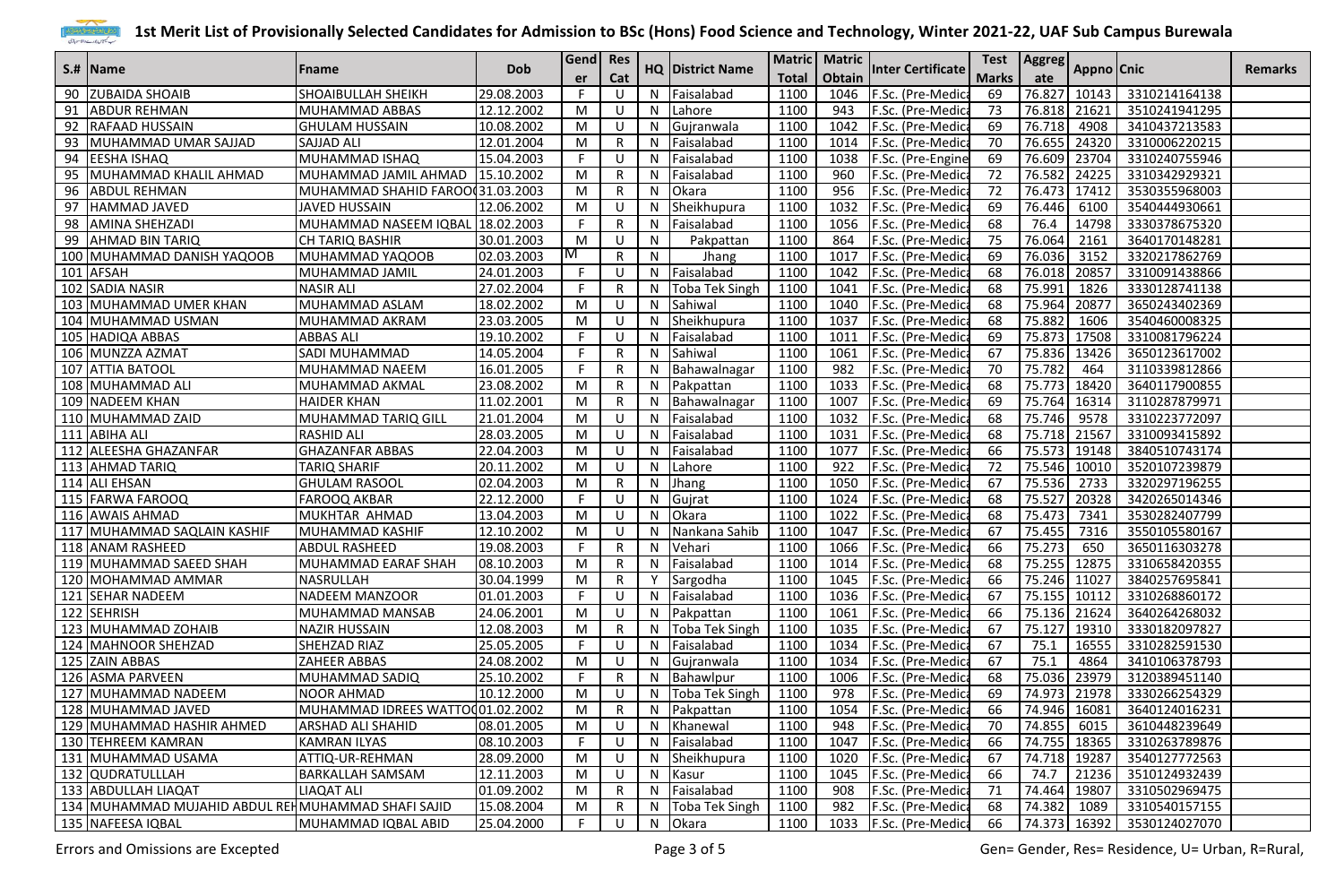

|    |                                                    |                                   | <b>Dob</b> | Gend  Res<br>er |     |              |                         |              | Matric   Matric |                          |              | Test   Aggreg |       | Appno Cnic                 |                |
|----|----------------------------------------------------|-----------------------------------|------------|-----------------|-----|--------------|-------------------------|--------------|-----------------|--------------------------|--------------|---------------|-------|----------------------------|----------------|
|    | S.# IName                                          | <b>F</b> name                     |            |                 | Cat |              | <b>HQ District Name</b> | <b>Total</b> | Obtain          | <b>Inter Certificate</b> | <b>Marks</b> | ate           |       |                            | <b>Remarks</b> |
|    | 90 ZUBAIDA SHOAIB                                  | <b>SHOAIBULLAH SHEIKH</b>         | 29.08.2003 | F               | -U  | N            | Faisalabad              | 1100         | 1046            | F.Sc. (Pre-Medica        | 69           | 76.827        | 10143 | 3310214164138              |                |
| 91 | <b>ABDUR REHMAN</b>                                | MUHAMMAD ABBAS                    | 12.12.2002 | M               | IJ  | N            | Lahore                  | 1100         | 943             | F.Sc. (Pre-Medica        | 73           | 76.818        | 21621 | 3510241941295              |                |
| 92 | <b>RAFAAD HUSSAIN</b>                              | <b>GHULAM HUSSAIN</b>             | 10.08.2002 | M               | U   | N            | Gujranwala              | 1100         | 1042            | F.Sc. (Pre-Medic         | 69           | 76.718        | 4908  | 3410437213583              |                |
| 93 | MUHAMMAD UMAR SAJJAD                               | <b>SAJJAD ALI</b>                 | 12.01.2004 | M               |     | N            | Faisalabad              | 1100         | 1014            | F.Sc. (Pre-Medica        | 70           | 76.655        | 24320 | 3310006220215              |                |
| 94 | <b>LEESHA ISHAQ</b>                                | MUHAMMAD ISHAQ                    | 15.04.2003 | F               | IJ  | N            | Faisalabad              | 1100         | 1038            | F.Sc. (Pre-Engine        | 69           | 76.609        | 23704 | 3310240755946              |                |
|    | 95 MUHAMMAD KHALIL AHMAD                           | MUHAMMAD JAMIL AHMAD   15.10.2002 |            | M               | R   | N            | Faisalabad              | 1100         | 960             | F.Sc. (Pre-Medica        | 72           | 76.582        | 24225 | 3310342929321              |                |
| 96 | <b>ABDUL REHMAN</b>                                | MUHAMMAD SHAHID FAROO 31.03.2003  |            | M               |     | N            | Okara                   | 1100         | 956             | F.Sc. (Pre-Medica        | 72           | 76.473        | 17412 | 3530355968003              |                |
| 97 | HAMMAD JAVED                                       | JAVED HUSSAIN                     | 12.06.2002 | M               | -U  | N            | Sheikhupura             | 1100         | 1032            | F.Sc. (Pre-Medica        | 69           | 76.446        | 6100  | 3540444930661              |                |
|    | 98 AMINA SHEHZADI                                  | MUHAMMAD NASEEM IQBAL 18.02.2003  |            | F               | R   | N            | Faisalabad              | 1100         | 1056            | F.Sc. (Pre-Medica        | 68           | 76.4          | 14798 | 3330378675320              |                |
|    | 99 AHMAD BIN TARIQ                                 | <b>CH TARIQ BASHIR</b>            | 30.01.2003 | M               | U   | N            | Pakpattan               | 1100         | 864             | F.Sc. (Pre-Medica        | 75           | 76.064        | 2161  | 3640170148281              |                |
|    | 100 MUHAMMAD DANISH YAQOOB                         | MUHAMMAD YAQOOB                   | 02.03.2003 | M               |     | N            | Jhang                   | 1100         | 1017            | F.Sc. (Pre-Medic         | 69           | 76.036        | 3152  | 3320217862769              |                |
|    | 101 AFSAH                                          | MUHAMMAD JAMIL                    | 24.01.2003 | F.              | U   | N            | Faisalabad              | 1100         | 1042            | F.Sc. (Pre-Medic         | 68           | 76.018        | 20857 | 3310091438866              |                |
|    | 102 SADIA NASIR                                    | <b>NASIR ALI</b>                  | 27.02.2004 | F.              | R   | N            | <b>Toba Tek Singh</b>   | 1100         | 1041            | F.Sc. (Pre-Medica        | 68           | 75.991        | 1826  | 3330128741138              |                |
|    | 103 MUHAMMAD UMER KHAN                             | MUHAMMAD ASLAM                    | 18.02.2002 | M               | U   | N            | Sahiwal                 | 1100         | 1040            | F.Sc. (Pre-Medic         | 68           | 75.964        | 20877 | 3650243402369              |                |
|    | 104 MUHAMMAD USMAN                                 | MUHAMMAD AKRAM                    | 23.03.2005 | M               | U   | N            | Sheikhupura             | 1100         | 1037            | F.Sc. (Pre-Medica        | 68           | 75.882        | 1606  | 3540460008325              |                |
|    | 105 HADIQA ABBAS                                   | <b>ABBAS ALI</b>                  | 19.10.2002 | F.              | U   | N            | Faisalabad              | 1100         | 1011            | F.Sc. (Pre-Medica        | 69           | 75.873        | 17508 | 3310081796224              |                |
|    | 106 MUNZZA AZMAT                                   | SADI MUHAMMAD                     | 14.05.2004 | F.              | R   | N            | Sahiwal                 | 1100         | 1061            | F.Sc. (Pre-Medica        | 67           | 75.836        | 13426 | 3650123617002              |                |
|    | 107 ATTIA BATOOL                                   | MUHAMMAD NAEEM                    | 16.01.2005 | F.              | R   | N            | Bahawalnagar            | 1100         | 982             | F.Sc. (Pre-Medica        | 70           | 75.782        | 464   | 3110339812866              |                |
|    | 108 MUHAMMAD ALI                                   | MUHAMMAD AKMAL                    | 23.08.2002 | M               |     | N            | Pakpattan               | 1100         | 1033            | F.Sc. (Pre-Medica        | 68           | 75.773        | 18420 | 3640117900855              |                |
|    | 109 NADEEM KHAN                                    | <b>HAIDER KHAN</b>                | 11.02.2001 | M               | R   |              | Bahawalnagar            | 1100         | 1007            | F.Sc. (Pre-Medic         | 69           | 75.764        | 16314 | 3110287879971              |                |
|    | 110 MUHAMMAD ZAID                                  | MUHAMMAD TARIQ GILL               | 21.01.2004 | M               | IJ  | N            | Faisalabad              | 1100         | 1032            | F.Sc. (Pre-Medica        | 68           | 75.746        | 9578  | 3310223772097              |                |
|    | 111 ABIHA ALI                                      | <b>RASHID ALI</b>                 | 28.03.2005 | M               | U   | N            | Faisalabad              | 1100         | 1031            | F.Sc. (Pre-Medica        | 68           | 75.718        | 21567 | 3310093415892              |                |
|    | 112 ALEESHA GHAZANFAR                              | <b>GHAZANFAR ABBAS</b>            | 22.04.2003 | M               | U   | $\mathsf{N}$ | Faisalabad              | 1100         | 1077            | F.Sc. (Pre-Medic         | 66           | 75.573        | 19148 | 3840510743174              |                |
|    | 113 AHMAD TARIQ                                    | <b>TARIQ SHARIF</b>               | 20.11.2002 | M               | U   | N            | Lahore                  | 1100         | 922             | F.Sc. (Pre-Medica        | 72           | 75.546        | 10010 | 3520107239879              |                |
|    | 114 ALI EHSAN                                      | <b>GHULAM RASOOL</b>              | 02.04.2003 | M               | R   | N            | <b>Jhang</b>            | 1100         | 1050            | F.Sc. (Pre-Medica        | 67           | 75.536        | 2733  | 3320297196255              |                |
|    | 115 FARWA FAROOQ                                   | <b>FAROOQ AKBAR</b>               | 22.12.2000 | F               | -U  | N            | Gujrat                  | 1100         | 1024            | F.Sc. (Pre-Medica        | 68           | 75.527        | 20328 | 3420265014346              |                |
|    | 116 AWAIS AHMAD                                    | MUKHTAR AHMAD                     | 13.04.2003 | M               | IJ  | N            | Okara                   | 1100         | 1022            | F.Sc. (Pre-Medic         | 68           | 75.473        | 7341  | 3530282407799              |                |
|    | 117 MUHAMMAD SAQLAIN KASHIF                        | MUHAMMAD KASHIF                   | 12.10.2002 | M               | IJ  | N            | Nankana Sahib           | 1100         | 1047            | F.Sc. (Pre-Medic         | 67           | 75.455        | 7316  | 3550105580167              |                |
|    | 118 ANAM RASHEED                                   | <b>ABDUL RASHEED</b>              | 19.08.2003 | F.              |     | N            | Vehari                  | 1100         | 1066            | F.Sc. (Pre-Medica        | 66           | 75.273        | 650   | 3650116303278              |                |
|    | 119 MUHAMMAD SAEED SHAH                            | MUHAMMAD EARAF SHAH               | 08.10.2003 | M               | R   | N            | Faisalabad              | 1100         | 1014            | F.Sc. (Pre-Medica        | 68           | 75.255        | 12875 | 3310658420355              |                |
|    | 120 MOHAMMAD AMMAR                                 | NASRULLAH                         | 30.04.1999 | M               | R   | v            | Sargodha                | 1100         | 1045            | F.Sc. (Pre-Medica        | 66           | 75.246 11027  |       | 3840257695841              |                |
|    | 121 SEHAR NADEEM                                   | <b>NADEEM MANZOOR</b>             | 01.01.2003 | F.              | U   | N            | Faisalabad              | 1100         | 1036            | F.Sc. (Pre-Medica        | 67           | 75.155 10112  |       | 3310268860172              |                |
|    | 122 SEHRISH                                        | MUHAMMAD MANSAB                   | 24.06.2001 | M               | -U  | N            | Pakpattan               | 1100         | 1061            | F.Sc. (Pre-Medic         | 66           | 75.136        | 21624 | 3640264268032              |                |
|    | 123 MUHAMMAD ZOHAIB                                | <b>NAZIR HUSSAIN</b>              | 12.08.2003 | M               | R   | N            | Toba Tek Singh          | 1100         | 1035            | F.Sc. (Pre-Medica        | 67           | 75.127        | 19310 | 3330182097827              |                |
|    | 124 MAHNOOR SHEHZAD                                | SHEHZAD RIAZ                      | 25.05.2005 | F               | -U  | N            | Faisalabad              | 1100         | 1034            | F.Sc. (Pre-Medica        | 67           | 75.1          | 16555 | 3310282591530              |                |
|    | 125 ZAIN ABBAS                                     | ZAHEER ABBAS                      | 24.08.2002 | M               | U   | N            | Gujranwala              | 1100         | 1034            | F.Sc. (Pre-Medica        | 67           | 75.1          | 4864  | 3410106378793              |                |
|    | 126 ASMA PARVEEN                                   | MUHAMMAD SADIQ                    | 25.10.2002 | F               | R   | N            | Bahawlpur               | 1100         | 1006            | F.Sc. (Pre-Medica        | 68           | 75.036        | 23979 | 3120389451140              |                |
|    | 127 MUHAMMAD NADEEM                                | NOOR AHMAD                        | 10.12.2000 | M               | U   |              | N   Toba Tek Singh      | 1100         |                 | 978 F.Sc. (Pre-Medica    | 69           |               |       | 74.973 21978 3330266254329 |                |
|    | 128 MUHAMMAD JAVED                                 | MUHAMMAD IDREES WATTO 01.02.2002  |            | M               | R   | N            | Pakpattan               | 1100         |                 | 1054 F.Sc. (Pre-Medica   | 66           | 74.946 16081  |       | 3640124016231              |                |
|    | 129 MUHAMMAD HASHIR AHMED                          | <b>ARSHAD ALI SHAHID</b>          | 08.01.2005 | M               | U   | N            | Khanewal                | 1100         | 948             | F.Sc. (Pre-Medica        | 70           | 74.855        | 6015  | 3610448239649              |                |
|    | 130 TEHREEM KAMRAN                                 | KAMRAN ILYAS                      | 08.10.2003 | F.              | U   | N            | Faisalabad              | 1100         |                 | 1047 F.Sc. (Pre-Medica   | 66           | 74.755 18365  |       | 3310263789876              |                |
|    | 131 MUHAMMAD USAMA                                 | ATTIQ-UR-REHMAN                   | 28.09.2000 | M               | - U | N            | Sheikhupura             | 1100         |                 | 1020   F.Sc. (Pre-Medica | 67           | 74.718 19287  |       | 3540127772563              |                |
|    | 132 QUDRATULLLAH                                   | <b>BARKALLAH SAMSAM</b>           | 12.11.2003 | M               | U   | N            | Kasur                   | 1100         |                 | 1045 F.Sc. (Pre-Medica   | 66           | 74.7          | 21236 | 3510124932439              |                |
|    | 133 ABDULLAH LIAQAT                                | <b>LIAQAT ALI</b>                 | 01.09.2002 | M               | R   | N            | Faisalabad              | 1100         | 908             | F.Sc. (Pre-Medica        | 71           | 74.464 19807  |       | 3310502969475              |                |
|    | 134 MUHAMMAD MUJAHID ABDUL REHMUHAMMAD SHAFI SAJID |                                   | 15.08.2004 | M               | R   | N            | Toba Tek Singh          | 1100         | 982             | F.Sc. (Pre-Medica        | 68           | 74.382 1089   |       | 3310540157155              |                |
|    | 135 NAFEESA IQBAL                                  | MUHAMMAD IQBAL ABID               | 25.04.2000 | F.              | U   |              | N Okara                 | 1100         |                 | 1033 F.Sc. (Pre-Medica   | 66           |               |       | 74.373 16392 3530124027070 |                |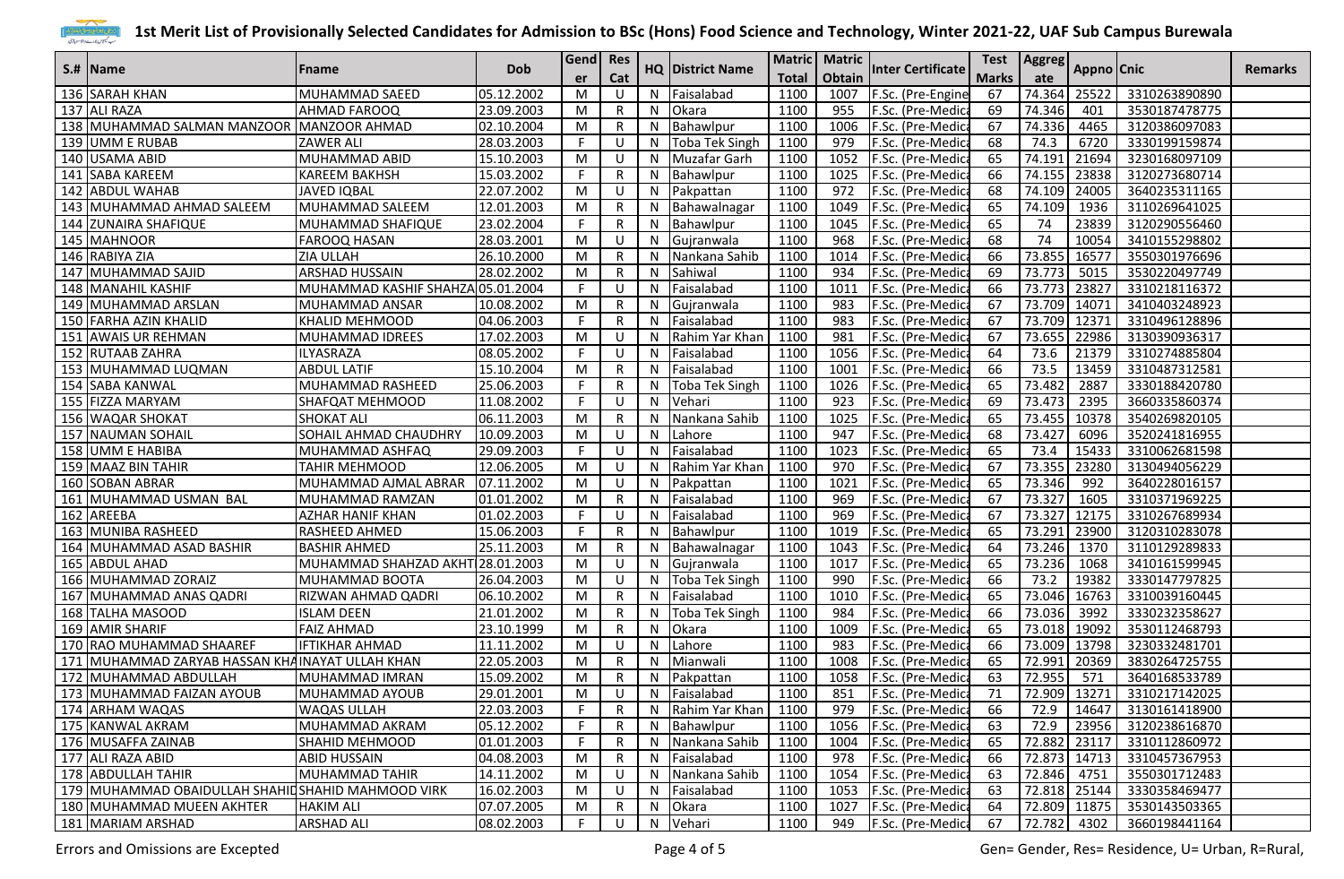

|                                                    |                                   |            | Gend Res<br><b>HQ District Name</b><br>Cat<br><b>er</b> |    |   | Matric   Matric           |              |        |                          | Test   Aggreg   Appno   Cnic |              |              |                            |                |
|----------------------------------------------------|-----------------------------------|------------|---------------------------------------------------------|----|---|---------------------------|--------------|--------|--------------------------|------------------------------|--------------|--------------|----------------------------|----------------|
| S.#  Name                                          | Fname                             | <b>Dob</b> |                                                         |    |   |                           | <b>Total</b> | Obtain | <b>Inter Certificate</b> |                              |              |              |                            | <b>Remarks</b> |
| 136 SARAH KHAN                                     | MUHAMMAD SAEED                    | 05.12.2002 | M                                                       | U  |   | $\overline{N}$ Faisalabad | 1100         | 1007   | F.Sc. (Pre-Engine        | 67                           | 74.364       | 25522        | 3310263890890              |                |
| 137 ALI RAZA                                       | <b>AHMAD FAROOQ</b>               | 23.09.2003 | M                                                       | R  | N | Okara                     | 1100         | 955    | F.Sc. (Pre-Medic         | 69                           | 74.346       | 401          | 3530187478775              |                |
| 138 MUHAMMAD SALMAN MANZOOR                        | MANZOOR AHMAD                     | 02.10.2004 | M                                                       | R  | N | Bahawlpur                 | 1100         | 1006   | F.Sc. (Pre-Medic         | 67                           | 74.336       | 4465         | 3120386097083              |                |
| 139 UMM E RUBAB                                    | <b>ZAWER ALI</b>                  | 28.03.2003 | F.                                                      | J. | N | <b>Toba Tek Singh</b>     | 1100         | 979    | F.Sc. (Pre-Medic         | 68                           | 74.3         | 6720         | 3330199159874              |                |
| 140 USAMA ABID                                     | MUHAMMAD ABID                     | 15.10.2003 | M                                                       | -U | N | Muzafar Garh              | 1100         | 1052   | F.Sc. (Pre-Medic         | 65                           | 74.191       | 21694        | 3230168097109              |                |
| 141 SABA KAREEM                                    | <b>KAREEM BAKHSH</b>              | 15.03.2002 | F.                                                      | R  | N | Bahawlpur                 | 1100         | 1025   | F.Sc. (Pre-Medic         | 66                           | 74.155       | 23838        | 3120273680714              |                |
| 142 ABDUL WAHAB                                    | <b>JAVED IQBAL</b>                | 22.07.2002 | M                                                       | -U | N | Pakpattan                 | 1100         | 972    | F.Sc. (Pre-Medic         | 68                           | 74.109       | 24005        | 3640235311165              |                |
| 143 MUHAMMAD AHMAD SALEEM                          | MUHAMMAD SALEEM                   | 12.01.2003 | M                                                       | R  | N | Bahawalnagar              | 1100         | 1049   | F.Sc. (Pre-Medic         | 65                           | 74.109       | 1936         | 3110269641025              |                |
| 144 ZUNAIRA SHAFIQUE                               | MUHAMMAD SHAFIQUE                 | 23.02.2004 | F.                                                      | R  | N | Bahawlpur                 | 1100         | 1045   | F.Sc. (Pre-Medic         | 65                           | 74           | 23839        | 3120290556460              |                |
| 145 MAHNOOR                                        | <b>FAROOQ HASAN</b>               | 28.03.2001 | M                                                       | -U | N | Gujranwala                | 1100         | 968    | F.Sc. (Pre-Medic         | 68                           | 74           | 10054        | 3410155298802              |                |
| 146 RABIYA ZIA                                     | <b>ZIA ULLAH</b>                  | 26.10.2000 | M                                                       | R  | N | Nankana Sahib             | 1100         | 1014   | F.Sc. (Pre-Medic         | 66                           | 73.855       | 16577        | 3550301976696              |                |
| 147 MUHAMMAD SAJID                                 | <b>ARSHAD HUSSAIN</b>             | 28.02.2002 | M                                                       | R  |   | Sahiwal                   | 1100         | 934    | F.Sc. (Pre-Medic         | 69                           | 73.773       | 5015         | 3530220497749              |                |
| 148 MANAHIL KASHIF                                 | MUHAMMAD KASHIF SHAHZA 05.01.2004 |            | F                                                       | -U | N | Faisalabad                | 1100         | 1011   | F.Sc. (Pre-Medic         | 66                           | 73.773       | 23827        | 3310218116372              |                |
| 149 MUHAMMAD ARSLAN                                | MUHAMMAD ANSAR                    | 10.08.2002 | M                                                       | R  | N | Gujranwala                | 1100         | 983    | F.Sc. (Pre-Medic         | 67                           | 73.709       | 14071        | 3410403248923              |                |
| 150 FARHA AZIN KHALID                              | KHALID MEHMOOD                    | 04.06.2003 | F.                                                      | R  | N | Faisalabad                | 1100         | 983    | F.Sc. (Pre-Medic         | 67                           | 73.709       | 12371        | 3310496128896              |                |
| 151 AWAIS UR REHMAN                                | MUHAMMAD IDREES                   | 17.02.2003 | M                                                       | -U | N | Rahim Yar Khan            | 1100         | 981    | F.Sc. (Pre-Medic         | 67                           | 73.655       | 22986        | 3130390936317              |                |
| 152 RUTAAB ZAHRA                                   | ILYASRAZA                         | 08.05.2002 | F.                                                      | -U | N | Faisalabad                | 1100         |        | 1056 F.Sc. (Pre-Medic    | 64                           | 73.6         | 21379        | 3310274885804              |                |
| 153 MUHAMMAD LUQMAN                                | <b>ABDUL LATIF</b>                | 15.10.2004 | M                                                       | R  | N | Faisalabad                | 1100         | 1001   | F.Sc. (Pre-Medica        | 66                           | 73.5         | 13459        | 3310487312581              |                |
| 154 SABA KANWAL                                    | MUHAMMAD RASHEED                  | 25.06.2003 | F                                                       | R  | N | Toba Tek Singh            | 1100         |        | 1026 F.Sc. (Pre-Medica   | 65                           | 73.482       | 2887         | 3330188420780              |                |
| 155 FIZZA MARYAM                                   | SHAFQAT MEHMOOD                   | 11.08.2002 | F                                                       | U  | N | Vehari                    | 1100         | 923    | F.Sc. (Pre-Medic         | 69                           | 73.473       | 2395         | 3660335860374              |                |
| 156 WAQAR SHOKAT                                   | <b>SHOKAT ALI</b>                 | 06.11.2003 | M                                                       | R  | N | Nankana Sahib             | 1100         | 1025   | F.Sc. (Pre-Medic         | 65                           | 73.455       | 10378        | 3540269820105              |                |
| 157 NAUMAN SOHAIL                                  | SOHAIL AHMAD CHAUDHRY             | 10.09.2003 | M                                                       | -U | N | Lahore                    | 1100         | 947    | F.Sc. (Pre-Medica        | 68                           | 73.427       | 6096         | 3520241816955              |                |
| 158 UMM E HABIBA                                   | MUHAMMAD ASHFAQ                   | 29.09.2003 | F.                                                      | -U | N | Faisalabad                | 1100         | 1023   | F.Sc. (Pre-Medic         | 65                           | 73.4         | 15433        | 3310062681598              |                |
| 159 MAAZ BIN TAHIR                                 | TAHIR MEHMOOD                     | 12.06.2005 | M                                                       | -U | N | Rahim Yar Khan            | 1100         | 970    | F.Sc. (Pre-Medic         | 67                           | 73.355       | 23280        | 3130494056229              |                |
| 160 SOBAN ABRAR                                    | MUHAMMAD AJMAL ABRAR              | 07.11.2002 | M                                                       | -U | N | Pakpattan                 | 1100         | 1021   | F.Sc. (Pre-Medic         | 65                           | 73.346       | 992          | 3640228016157              |                |
| 161 MUHAMMAD USMAN BAL                             | MUHAMMAD RAMZAN                   | 01.01.2002 | M                                                       | R  | N | Faisalabad                | 1100         | 969    | F.Sc. (Pre-Medica        | 67                           | 73.327       | 1605         | 3310371969225              |                |
| 162 AREEBA                                         | <b>AZHAR HANIF KHAN</b>           | 01.02.2003 | F.                                                      | -U | N | Faisalabad                | 1100         | 969    | F.Sc. (Pre-Medica        | 67                           | 73.327       | 12175        | 3310267689934              |                |
| 163 MUNIBA RASHEED                                 | <b>RASHEED AHMED</b>              | 15.06.2003 | F                                                       | R  | N | Bahawlpur                 | 1100         | 1019   | F.Sc. (Pre-Medic         | 65                           | 73.291       | 23900        | 3120310283078              |                |
| 164 MUHAMMAD ASAD BASHIR                           | <b>BASHIR AHMED</b>               | 25.11.2003 | M                                                       | R  |   | Bahawalnagar              | 1100         | 1043   | F.Sc. (Pre-Medic         | 64                           | 73.246       | 1370         | 3110129289833              |                |
| 165 ABDUL AHAD                                     | MUHAMMAD SHAHZAD AKHT 28.01.2003  |            | M                                                       | -U | N | Gujranwala                | 1100         | 1017   | F.Sc. (Pre-Medic         | 65                           | 73.236       | 1068         | 3410161599945              |                |
| 166 MUHAMMAD ZORAIZ                                | MUHAMMAD BOOTA                    | 26.04.2003 | M                                                       | -U | N | Toba Tek Singh            | 1100         | 990    | F.Sc. (Pre-Medic         | 66                           | 73.2         | 19382        | 3330147797825              |                |
| 167 MUHAMMAD ANAS QADRI                            | RIZWAN AHMAD QADRI                | 06.10.2002 | M                                                       | R  | N | Faisalabad                | 1100         | 1010   | F.Sc. (Pre-Medic         | 65                           | 73.046       | 16763        | 3310039160445              |                |
| 168 TALHA MASOOD                                   | <b>ISLAM DEEN</b>                 | 21.01.2002 | M                                                       | R  | N | <b>Toba Tek Singh</b>     | 1100         | 984    | F.Sc. (Pre-Medic         | 66                           | 73.036       | 3992         | 3330232358627              |                |
| 169 AMIR SHARIF                                    | <b>FAIZ AHMAD</b>                 | 23.10.1999 | M                                                       | R  | N | Okara                     | 1100         | 1009   | F.Sc. (Pre-Medic         | 65                           | 73.018 19092 |              | 3530112468793              |                |
| 170 RAO MUHAMMAD SHAAREF                           | <b>IFTIKHAR AHMAD</b>             | 11.11.2002 | M                                                       | -U | N | Lahore                    | 1100         | 983    | F.Sc. (Pre-Medica        | 66                           | 73.009       | 13798        | 3230332481701              |                |
| 171 MUHAMMAD ZARYAB HASSAN KHAINAYAT ULLAH KHAN    |                                   | 22.05.2003 | M                                                       | R  | N | Mianwali                  | 1100         | 1008   | F.Sc. (Pre-Medic         | 65                           | 72.991       | 20369        | 3830264725755              |                |
| 172 MUHAMMAD ABDULLAH                              | MUHAMMAD IMRAN                    | 15.09.2002 | M                                                       | R  | N | Pakpattan                 | 1100         | 1058   | F.Sc. (Pre-Medic         | 63                           | 72.955       | 571          | 3640168533789              |                |
| 173 MUHAMMAD FAIZAN AYOUB                          | <b>IMUHAMMAD AYOUB</b>            | 29.01.2001 | M                                                       | -U |   | N Faisalabad              | 1100         | 851    | F.Sc. (Pre-Medica        | 71                           |              |              | 72.909 13271 3310217142025 |                |
| 174 ARHAM WAQAS                                    | <b>WAQAS ULLAH</b>                | 22.03.2003 | F.                                                      | R  | N | Rahim Yar Khan            | 1100         | 979    | F.Sc. (Pre-Medica        | 66                           | 72.9         |              | 14647 3130161418900        |                |
| 175 KANWAL AKRAM                                   | MUHAMMAD AKRAM                    | 05.12.2002 | F.                                                      | R  | N | Bahawlpur                 | 1100         |        | 1056 F.Sc. (Pre-Medica   | 63                           | 72.9         | 23956        | 3120238616870              |                |
| 176 MUSAFFA ZAINAB                                 | <b>SHAHID MEHMOOD</b>             | 01.01.2003 | F.                                                      | R  | N | Nankana Sahib             | 1100         |        | 1004 F.Sc. (Pre-Medica   | 65                           |              | 72.882 23117 | 3310112860972              |                |
| 177 ALI RAZA ABID                                  | <b>ABID HUSSAIN</b>               | 04.08.2003 | M                                                       | R  |   | N Faisalabad              | 1100         | 978    | F.Sc. (Pre-Medic         | 66                           |              | 72.873 14713 | 3310457367953              |                |
| 178 ABDULLAH TAHIR                                 | MUHAMMAD TAHIR                    | 14.11.2002 | M                                                       | -U |   | N Nankana Sahib           | 1100         |        | 1054 F.Sc. (Pre-Medica   | 63                           | 72.846 4751  |              | 3550301712483              |                |
| 179 MUHAMMAD OBAIDULLAH SHAHID SHAHID MAHMOOD VIRK |                                   | 16.02.2003 | M                                                       | -U | N | Faisalabad                | 1100         |        | 1053 F.Sc. (Pre-Medica   | 63                           | 72.818 25144 |              | 3330358469477              |                |
| 180 MUHAMMAD MUEEN AKHTER                          | <b>HAKIM ALI</b>                  | 07.07.2005 | M                                                       | R  | N | Okara                     | 1100         | 1027   | F.Sc. (Pre-Medica        | 64                           |              | 72.809 11875 | 3530143503365              |                |
| 181 MARIAM ARSHAD                                  | <b>ARSHAD ALI</b>                 | 08.02.2003 | F.                                                      | U  |   | N Vehari                  | 1100         |        | 949 F.Sc. (Pre-Medica    | 67                           | 72.782       | 4302         | 3660198441164              |                |